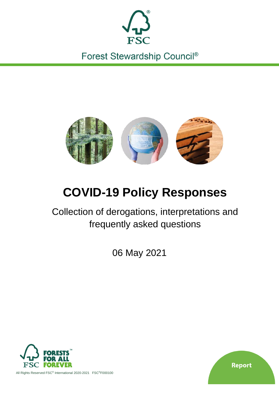

Forest Stewardship Council®



# **COVID-19 Policy Responses**

Collection of derogations, interpretations and frequently asked questions

06 May 2021



**Report** 

All Rights Reserved FSC® International 2020-2021 FSC®F000100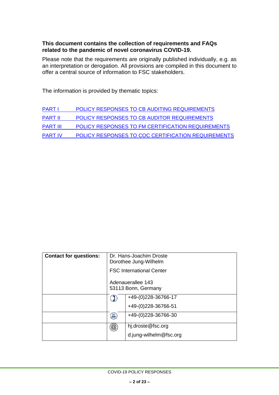#### **This document contains the collection of requirements and FAQs related to the pandemic of novel coronavirus COVID-19.**

Please note that the requirements are originally published individually, e.g. as an interpretation or derogation. All provisions are compiled in this document to offer a central source of information to FSC stakeholders.

The information is provided by thematic topics:

| <b>PART I</b>   | POLICY RESPONSES TO CB AUDITING REQUIREMENTS       |
|-----------------|----------------------------------------------------|
| <b>PART II</b>  | POLICY RESPONSES TO CB AUDITOR REQUIREMENTS        |
| <b>PART III</b> | POLICY RESPONSES TO FM CERTIFICATION REQUIREMENTS  |
| <b>PART IV</b>  | POLICY RESPONSES TO COC CERTIFICATION REQUIREMENTS |

| <b>Contact for questions:</b> | Dr. Hans-Joachim Droste<br>Dorothee Jung-Wilhelm |                        |
|-------------------------------|--------------------------------------------------|------------------------|
|                               | <b>FSC International Center</b>                  |                        |
|                               | Adenauerallee 143<br>53113 Bonn, Germany         |                        |
|                               |                                                  | +49-(0)228-36766-17    |
|                               |                                                  | +49-(0)228-36766-51    |
|                               | 昌                                                | +49-(0)228-36766-30    |
|                               | $^{\textregistered}$                             | hj.droste@fsc.org      |
|                               |                                                  | d.jung-wilhelm@fsc.org |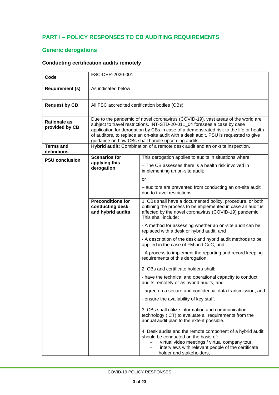### <span id="page-2-0"></span>**PART I – POLICY RESPONSES TO CB AUDITING REQUIREMENTS**

### **Generic derogations**

### **Conducting certification audits remotely**

| Code                                  | FSC-DER-2020-001                                                                                                                                                                                                                                                                                                                                                                                     |                                                                                                                                                                                                                                       |  |  |
|---------------------------------------|------------------------------------------------------------------------------------------------------------------------------------------------------------------------------------------------------------------------------------------------------------------------------------------------------------------------------------------------------------------------------------------------------|---------------------------------------------------------------------------------------------------------------------------------------------------------------------------------------------------------------------------------------|--|--|
| <b>Requirement (s)</b>                | As indicated below                                                                                                                                                                                                                                                                                                                                                                                   |                                                                                                                                                                                                                                       |  |  |
| <b>Request by CB</b>                  | All FSC accredited certification bodies (CBs)                                                                                                                                                                                                                                                                                                                                                        |                                                                                                                                                                                                                                       |  |  |
| <b>Rationale as</b><br>provided by CB | Due to the pandemic of novel coronavirus (COVID-19), vast areas of the world are<br>subject to travel restrictions. INT-STD-20-011 04 foresees a case by case<br>application for derogation by CBs in case of a demonstrated risk to the life or health<br>of auditors, to replace an on-site audit with a desk audit. PSU is requested to give<br>guidance on how CBs shall handle upcoming audits. |                                                                                                                                                                                                                                       |  |  |
| <b>Terms and</b><br>definitions       |                                                                                                                                                                                                                                                                                                                                                                                                      | Hybrid audit: Combination of a remote desk audit and an on-site inspection.                                                                                                                                                           |  |  |
| <b>PSU conclusion</b>                 | <b>Scenarios for</b><br>applying this<br>derogation                                                                                                                                                                                                                                                                                                                                                  | This derogation applies to audits in situations where:<br>- The CB assesses there is a health risk involved in<br>implementing an on-site audit;<br>or                                                                                |  |  |
|                                       |                                                                                                                                                                                                                                                                                                                                                                                                      | - auditors are prevented from conducting an on-site audit<br>due to travel restrictions.                                                                                                                                              |  |  |
|                                       | <b>Preconditions for</b><br>conducting desk<br>and hybrid audits                                                                                                                                                                                                                                                                                                                                     | 1. CBs shall have a documented policy, procedure, or both,<br>outlining the process to be implemented in case an audit is<br>affected by the novel coronavirus (COVID-19) pandemic.<br>This shall include:                            |  |  |
|                                       |                                                                                                                                                                                                                                                                                                                                                                                                      | - A method for assessing whether an on-site audit can be<br>replaced with a desk or hybrid audit, and                                                                                                                                 |  |  |
|                                       |                                                                                                                                                                                                                                                                                                                                                                                                      | - A description of the desk and hybrid audit methods to be<br>applied in the case of FM and CoC, and                                                                                                                                  |  |  |
|                                       |                                                                                                                                                                                                                                                                                                                                                                                                      | - A process to implement the reporting and record keeping<br>requirements of this derogation.                                                                                                                                         |  |  |
|                                       |                                                                                                                                                                                                                                                                                                                                                                                                      | 2. CBs and certificate holders shall:                                                                                                                                                                                                 |  |  |
|                                       |                                                                                                                                                                                                                                                                                                                                                                                                      | - have the technical and operational capacity to conduct<br>audits remotely or as hybrid audits, and                                                                                                                                  |  |  |
|                                       |                                                                                                                                                                                                                                                                                                                                                                                                      | - agree on a secure and confidential data transmission, and                                                                                                                                                                           |  |  |
|                                       |                                                                                                                                                                                                                                                                                                                                                                                                      | - ensure the availability of key staff.                                                                                                                                                                                               |  |  |
|                                       |                                                                                                                                                                                                                                                                                                                                                                                                      | 3. CBs shall utilize information and communication<br>technology (ICT) to evaluate all requirements from the<br>annual audit plan to the extent possible.                                                                             |  |  |
|                                       |                                                                                                                                                                                                                                                                                                                                                                                                      | 4. Desk audits and the remote component of a hybrid audit<br>should be conducted on the basis of:<br>virtual video meetings / virtual company tour,<br>interviews with relevant people of the certificate<br>holder and stakeholders, |  |  |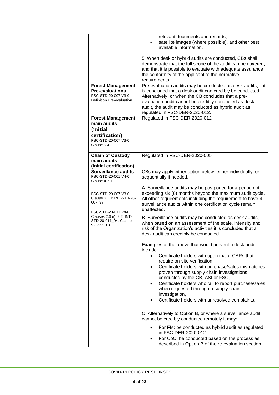|  |                                                                                                                                                        | relevant documents and records,<br>satellite images (where possible), and other best<br>available information.                                                                                                                                                                                                                                                                                                                                                                                    |
|--|--------------------------------------------------------------------------------------------------------------------------------------------------------|---------------------------------------------------------------------------------------------------------------------------------------------------------------------------------------------------------------------------------------------------------------------------------------------------------------------------------------------------------------------------------------------------------------------------------------------------------------------------------------------------|
|  |                                                                                                                                                        | 5. When desk or hybrid audits are conducted, CBs shall<br>demonstrate that the full scope of the audit can be covered,<br>and that it is possible to evaluate with adequate assurance<br>the conformity of the applicant to the normative<br>requirements.                                                                                                                                                                                                                                        |
|  | <b>Forest Management</b><br><b>Pre-evaluations</b><br>FSC-STD-20-007 V3-0<br>Definition Pre-evaluation                                                 | Pre-evaluation audits may be conducted as desk audits, if it<br>is concluded that a desk audit can credibly be conducted.<br>Alternatively, or when the CB concludes that a pre-<br>evaluation audit cannot be credibly conducted as desk<br>audit, the audit may be conducted as hybrid audit as<br>regulated in FSC-DER-2020-012.                                                                                                                                                               |
|  | <b>Forest Management</b><br>main audits<br>(initial<br>certification)<br>FSC-STD-20-007 V3-0<br>Clause 5.4.2                                           | Regulated in FSC-DER-2020-012                                                                                                                                                                                                                                                                                                                                                                                                                                                                     |
|  | <b>Chain of Custody</b><br>main audits<br>(initial certification)                                                                                      | Regulated in FSC-DER-2020-005                                                                                                                                                                                                                                                                                                                                                                                                                                                                     |
|  | <b>Surveillance audits</b><br>FSC-STD-20-001 V4-0<br>Clause 4.7.1                                                                                      | CBs may apply either option below, either individually, or<br>sequentially if needed.                                                                                                                                                                                                                                                                                                                                                                                                             |
|  | FSC-STD-20-007 V3-0<br>Clause 6.1.1; INT-STD-20-<br>007_37<br>FSC-STD-20-011 V4-0<br>Clauses 2.6 e), 9.2; INT-<br>STD-20-011_04; Clause<br>9.2 and 9.3 | A. Surveillance audits may be postponed for a period not<br>exceeding six (6) months beyond the maximum audit cycle.<br>All other requirements including the requirement to have 4<br>surveillance audits within one certification cycle remain<br>unaffected.                                                                                                                                                                                                                                    |
|  |                                                                                                                                                        | B. Surveillance audits may be conducted as desk audits,<br>when based on an assessment of the scale, intensity and<br>risk of the Organization's activities it is concluded that a<br>desk audit can credibly be conducted.                                                                                                                                                                                                                                                                       |
|  |                                                                                                                                                        | Examples of the above that would prevent a desk audit<br>include:<br>Certificate holders with open major CARs that<br>$\bullet$<br>require on-site verification,<br>Certificate holders with purchase/sales mismatches<br>$\bullet$<br>proven through supply chain investigations<br>conducted by the CB, ASI or FSC,<br>Certificate holders who fail to report purchase/sales<br>٠<br>when requested through a supply chain<br>investigation,<br>Certificate holders with unresolved complaints. |
|  |                                                                                                                                                        | C. Alternatively to Option B, or where a surveillance audit<br>cannot be credibly conducted remotely it may:                                                                                                                                                                                                                                                                                                                                                                                      |
|  |                                                                                                                                                        | For FM: be conducted as hybrid audit as regulated<br>$\bullet$<br>in FSC-DER-2020-012.<br>For CoC: be conducted based on the process as<br>described in Option B of the re-evaluation section.                                                                                                                                                                                                                                                                                                    |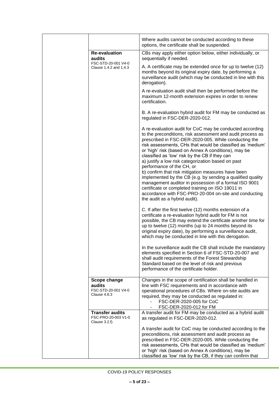|  |                                                                                 | Where audits cannot be conducted according to these<br>options, the certificate shall be suspended.                                                                                                                                                                                                                                                                                                                                                                                                                                                                                                                                                                                                                                                                   |  |  |
|--|---------------------------------------------------------------------------------|-----------------------------------------------------------------------------------------------------------------------------------------------------------------------------------------------------------------------------------------------------------------------------------------------------------------------------------------------------------------------------------------------------------------------------------------------------------------------------------------------------------------------------------------------------------------------------------------------------------------------------------------------------------------------------------------------------------------------------------------------------------------------|--|--|
|  | <b>Re-evaluation</b><br>audits<br>FSC-STD-20-001 V4-0<br>Clause 1.4.2 and 1.4.3 | CBs may apply either option below, either individually, or<br>sequentially if needed.                                                                                                                                                                                                                                                                                                                                                                                                                                                                                                                                                                                                                                                                                 |  |  |
|  |                                                                                 | A. A certificate may be extended once for up to twelve (12)<br>months beyond its original expiry date, by performing a<br>surveillance audit (which may be conducted in line with this<br>derogation).                                                                                                                                                                                                                                                                                                                                                                                                                                                                                                                                                                |  |  |
|  |                                                                                 | A re-evaluation audit shall then be performed before the<br>maximum 12-month extension expires in order to renew<br>certification.                                                                                                                                                                                                                                                                                                                                                                                                                                                                                                                                                                                                                                    |  |  |
|  |                                                                                 | B. A re-evaluation hybrid audit for FM may be conducted as<br>regulated in FSC-DER-2020-012.                                                                                                                                                                                                                                                                                                                                                                                                                                                                                                                                                                                                                                                                          |  |  |
|  |                                                                                 | A re-evaluation audit for CoC may be conducted according<br>to the preconditions, risk assessment and audit process as<br>prescribed in FSC-DER-2020-005. While conducting the<br>risk assessments, CHs that would be classified as 'medium'<br>or 'high' risk (based on Annex A conditions), may be<br>classified as 'low' risk by the CB if they can<br>a) justify a low risk categorization based on past<br>performance of the CH, or<br>b) confirm that risk mitigation measures have been<br>implemented by the CB (e.g. by sending a qualified quality<br>management auditor in possession of a formal ISO 9001<br>certificate or completed training on ISO 19011 in<br>accordance with FSC-PRO-20-004 on-site and conducting<br>the audit as a hybrid audit). |  |  |
|  |                                                                                 | C. If after the first twelve (12) months extension of a<br>certificate a re-evaluation hybrid audit for FM is not<br>possible, the CB may extend the certificate another time for<br>up to twelve (12) months (up to 24 months beyond its<br>original expiry date), by performing a surveillance audit,<br>which may be conducted in line with this derogation.                                                                                                                                                                                                                                                                                                                                                                                                       |  |  |
|  |                                                                                 | In the surveillance audit the CB shall include the mandatory<br>elements specified in Section 6 of FSC-STD-20-007 and<br>shall audit requirements of the Forest Stewardship<br>Standard based on the level of risk and previous<br>performance of the certificate holder.                                                                                                                                                                                                                                                                                                                                                                                                                                                                                             |  |  |
|  | Scope change<br>audits<br>FSC-STD-20-001 V4-0<br>Clause 4.8.3                   | Changes in the scope of certification shall be handled in<br>line with FSC requirements and in accordance with<br>operational procedures of CBs. Where on-site audits are<br>required, they may be conducted as regulated in:<br>FSC-DER-2020-005 for CoC<br>FSC-DER-2020-012 for FM                                                                                                                                                                                                                                                                                                                                                                                                                                                                                  |  |  |
|  | <b>Transfer audits</b><br>FSC-PRO-20-003 V1-0<br>Clause $3.2.f$ )               | A transfer audit for FM may be conducted as a hybrid audit<br>as regulated in FSC-DER-2020-012.                                                                                                                                                                                                                                                                                                                                                                                                                                                                                                                                                                                                                                                                       |  |  |
|  |                                                                                 | A transfer audit for CoC may be conducted according to the<br>preconditions, risk assessment and audit process as<br>prescribed in FSC-DER-2020-005. While conducting the<br>risk assessments, CHs that would be classified as 'medium'<br>or 'high' risk (based on Annex A conditions), may be<br>classified as 'low' risk by the CB, if they can confirm that                                                                                                                                                                                                                                                                                                                                                                                                       |  |  |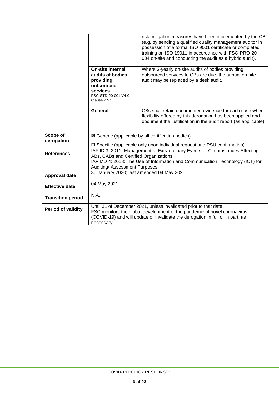|                           |                                                                                                                                                                                                                                               | risk mitigation measures have been implemented by the CB<br>(e.g. by sending a qualified quality management auditor in<br>possession of a formal ISO 9001 certificate or completed<br>training on ISO 19011 in accordance with FSC-PRO-20-<br>004 on-site and conducting the audit as a hybrid audit). |  |
|---------------------------|-----------------------------------------------------------------------------------------------------------------------------------------------------------------------------------------------------------------------------------------------|--------------------------------------------------------------------------------------------------------------------------------------------------------------------------------------------------------------------------------------------------------------------------------------------------------|--|
|                           | <b>On-site internal</b><br>audits of bodies<br>providing<br>outsourced<br>services<br>FSC-STD-20-001 V4-0<br><b>Clause 2.5.5</b>                                                                                                              | Where 3-yearly on-site audits of bodies providing<br>outsourced services to CBs are due, the annual on-site<br>audit may be replaced by a desk audit.                                                                                                                                                  |  |
|                           | <b>General</b>                                                                                                                                                                                                                                | CBs shall retain documented evidence for each case where<br>flexibility offered by this derogation has been applied and<br>document the justification in the audit report (as applicable).                                                                                                             |  |
| Scope of<br>derogation    | $\boxtimes$ Generic (applicable by all certification bodies)<br>$\Box$ Specific (applicable only upon individual request and PSU confirmation)                                                                                                |                                                                                                                                                                                                                                                                                                        |  |
| <b>References</b>         | IAF ID 3: 2011: Management of Extraordinary Events or Circumstances Affecting<br>ABs, CABs and Certified Organizations<br>IAF MD 4: 2018: The Use of Information and Communication Technology (ICT) for<br>Auditing/ Assessment Purposes      |                                                                                                                                                                                                                                                                                                        |  |
| <b>Approval date</b>      | 30 January 2020; last amended 04 May 2021                                                                                                                                                                                                     |                                                                                                                                                                                                                                                                                                        |  |
| <b>Effective date</b>     | 04 May 2021                                                                                                                                                                                                                                   |                                                                                                                                                                                                                                                                                                        |  |
| <b>Transition period</b>  | N.A.                                                                                                                                                                                                                                          |                                                                                                                                                                                                                                                                                                        |  |
| <b>Period of validity</b> | Until 31 of December 2021, unless invalidated prior to that date.<br>FSC monitors the global development of the pandemic of novel coronavirus<br>(COVID-19) and will update or invalidate the derogation in full or in part, as<br>necessary. |                                                                                                                                                                                                                                                                                                        |  |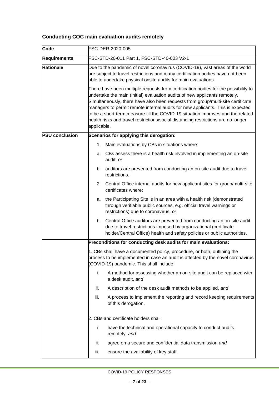# **Conducting COC main evaluation audits remotely**

| Code                  | FSC-DER-2020-005                                                                                                                                                                                                                                                                                                                                                                                                                                                                                                             |  |  |
|-----------------------|------------------------------------------------------------------------------------------------------------------------------------------------------------------------------------------------------------------------------------------------------------------------------------------------------------------------------------------------------------------------------------------------------------------------------------------------------------------------------------------------------------------------------|--|--|
| <b>Requirements</b>   | FSC-STD-20-011 Part 1, FSC-STD-40-003 V2-1                                                                                                                                                                                                                                                                                                                                                                                                                                                                                   |  |  |
| <b>Rationale</b>      | Due to the pandemic of novel coronavirus (COVID-19), vast areas of the world<br>are subject to travel restrictions and many certification bodies have not been<br>able to undertake physical onsite audits for main evaluations.                                                                                                                                                                                                                                                                                             |  |  |
|                       | There have been multiple requests from certification bodies for the possibility to<br>undertake the main (initial) evaluation audits of new applicants remotely.<br>Simultaneously, there have also been requests from group/multi-site certificate<br>managers to permit remote internal audits for new applicants. This is expected<br>to be a short-term measure till the COVID-19 situation improves and the related<br>health risks and travel restrictions/social distancing restrictions are no longer<br>applicable. |  |  |
| <b>PSU conclusion</b> | Scenarios for applying this derogation:                                                                                                                                                                                                                                                                                                                                                                                                                                                                                      |  |  |
|                       | Main evaluations by CBs in situations where:<br>1.                                                                                                                                                                                                                                                                                                                                                                                                                                                                           |  |  |
|                       | CBs assess there is a health risk involved in implementing an on-site<br>a.<br>audit; or                                                                                                                                                                                                                                                                                                                                                                                                                                     |  |  |
|                       | auditors are prevented from conducting an on-site audit due to travel<br>b.<br>restrictions.                                                                                                                                                                                                                                                                                                                                                                                                                                 |  |  |
|                       | Central Office internal audits for new applicant sites for group/multi-site<br>2.<br>certificates where:                                                                                                                                                                                                                                                                                                                                                                                                                     |  |  |
|                       | the Participating Site is in an area with a health risk (demonstrated<br>а.<br>through verifiable public sources, e.g. official travel warnings or<br>restrictions) due to coronavirus, or                                                                                                                                                                                                                                                                                                                                   |  |  |
|                       | Central Office auditors are prevented from conducting an on-site audit<br>b.<br>due to travel restrictions imposed by organizational (certificate<br>holder/Central Office) health and safety policies or public authorities.                                                                                                                                                                                                                                                                                                |  |  |
|                       | Preconditions for conducting desk audits for main evaluations:                                                                                                                                                                                                                                                                                                                                                                                                                                                               |  |  |
|                       | 1. CBs shall have a documented policy, procedure, or both, outlining the<br>process to be implemented in case an audit is affected by the novel coronavirus<br>(COVID-19) pandemic. This shall include:                                                                                                                                                                                                                                                                                                                      |  |  |
|                       | A method for assessing whether an on-site audit can be replaced with<br>i.<br>a desk audit, and                                                                                                                                                                                                                                                                                                                                                                                                                              |  |  |
|                       | A description of the desk audit methods to be applied, and<br>ii.                                                                                                                                                                                                                                                                                                                                                                                                                                                            |  |  |
|                       | A process to implement the reporting and record keeping requirements<br>iii.<br>of this derogation.                                                                                                                                                                                                                                                                                                                                                                                                                          |  |  |
|                       | 2. CBs and certificate holders shall:                                                                                                                                                                                                                                                                                                                                                                                                                                                                                        |  |  |
|                       | i.<br>have the technical and operational capacity to conduct audits<br>remotely, and                                                                                                                                                                                                                                                                                                                                                                                                                                         |  |  |
|                       | ii.<br>agree on a secure and confidential data transmission and                                                                                                                                                                                                                                                                                                                                                                                                                                                              |  |  |
|                       | iii.<br>ensure the availability of key staff.                                                                                                                                                                                                                                                                                                                                                                                                                                                                                |  |  |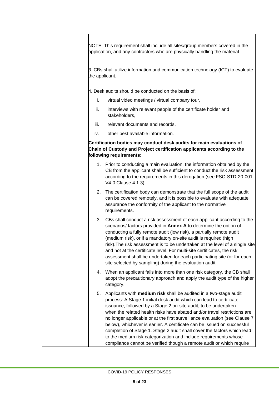|      | NOTE: This requirement shall include all sites/group members covered in the<br>application, and any contractors who are physically handling the material.                                                                                                                                                                                                                                                                                                                                                                                                                                                                                                               |
|------|-------------------------------------------------------------------------------------------------------------------------------------------------------------------------------------------------------------------------------------------------------------------------------------------------------------------------------------------------------------------------------------------------------------------------------------------------------------------------------------------------------------------------------------------------------------------------------------------------------------------------------------------------------------------------|
|      | 3. CBs shall utilize information and communication technology (ICT) to evaluate<br>the applicant.                                                                                                                                                                                                                                                                                                                                                                                                                                                                                                                                                                       |
|      | 4. Desk audits should be conducted on the basis of:                                                                                                                                                                                                                                                                                                                                                                                                                                                                                                                                                                                                                     |
| i.   | virtual video meetings / virtual company tour,                                                                                                                                                                                                                                                                                                                                                                                                                                                                                                                                                                                                                          |
| ii.  | interviews with relevant people of the certificate holder and<br>stakeholders,                                                                                                                                                                                                                                                                                                                                                                                                                                                                                                                                                                                          |
| iii. | relevant documents and records,                                                                                                                                                                                                                                                                                                                                                                                                                                                                                                                                                                                                                                         |
| iv.  | other best available information.                                                                                                                                                                                                                                                                                                                                                                                                                                                                                                                                                                                                                                       |
|      | Certification bodies may conduct desk audits for main evaluations of<br>Chain of Custody and Project certification applicants according to the<br>following requirements:                                                                                                                                                                                                                                                                                                                                                                                                                                                                                               |
|      | 1. Prior to conducting a main evaluation, the information obtained by the<br>CB from the applicant shall be sufficient to conduct the risk assessment<br>according to the requirements in this derogation (see FSC-STD-20-001<br>V4-0 Clause 4.1.3).                                                                                                                                                                                                                                                                                                                                                                                                                    |
|      | 2. The certification body can demonstrate that the full scope of the audit<br>can be covered remotely, and it is possible to evaluate with adequate<br>assurance the conformity of the applicant to the normative<br>requirements.                                                                                                                                                                                                                                                                                                                                                                                                                                      |
|      | 3. CBs shall conduct a risk assessment of each applicant according to the<br>scenarios/ factors provided in Annex A to determine the option of<br>conducting a fully remote audit (low risk), a partially remote audit<br>(medium risk), or if a mandatory on-site audit is required (high<br>risk). The risk assessment is to be undertaken at the level of a single site<br>and not at the certificate level. For multi-site certificates, the risk<br>assessment shall be undertaken for each participating site (or for each<br>site selected by sampling) during the evaluation audit.                                                                             |
| 4.   | When an applicant falls into more than one risk category, the CB shall<br>adopt the precautionary approach and apply the audit type of the higher<br>category.                                                                                                                                                                                                                                                                                                                                                                                                                                                                                                          |
| 5.   | Applicants with medium risk shall be audited in a two-stage audit<br>process: A Stage 1 initial desk audit which can lead to certificate<br>issuance, followed by a Stage 2 on-site audit, to be undertaken<br>when the related health risks have abated and/or travel restrictions are<br>no longer applicable or at the first surveillance evaluation (see Clause 7<br>below), whichever is earlier. A certificate can be issued on successful<br>completion of Stage 1. Stage 2 audit shall cover the factors which lead<br>to the medium risk categorization and include requirements whose<br>compliance cannot be verified though a remote audit or which require |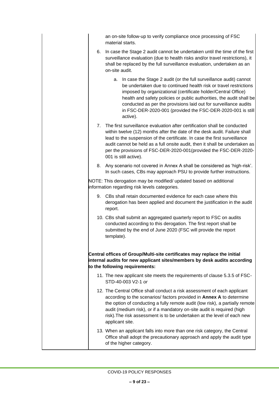| an on-site follow-up to verify compliance once processing of FSC |  |
|------------------------------------------------------------------|--|
| material starts.                                                 |  |

- 6. In case the Stage 2 audit cannot be undertaken until the time of the first surveillance evaluation (due to health risks and/or travel restrictions), it shall be replaced by the full surveillance evaluation, undertaken as an on-site audit.
	- a. In case the Stage 2 audit (or the full surveillance audit) cannot be undertaken due to continued health risk or travel restrictions imposed by organizational (certificate holder/Central Office) health and safety policies or public authorities, the audit shall be conducted as per the provisions laid out for surveillance audits in FSC-DER-2020-001 (provided the FSC-DER-2020-001 is still active).
- 7. The first surveillance evaluation after certification shall be conducted within twelve (12) months after the date of the desk audit. Failure shall lead to the suspension of the certificate. In case the first surveillance audit cannot be held as a full onsite audit, then it shall be undertaken as per the provisions of FSC-DER-2020-001(provided the FSC-DER-2020- 001 is still active).
- 8. Any scenario not covered in Annex A shall be considered as 'high-risk'. In such cases, CBs may approach PSU to provide further instructions.

NOTE: This derogation may be modified/ updated based on additional information regarding risk levels categories.

- 9. CBs shall retain documented evidence for each case where this derogation has been applied and document the justification in the audit report.
- 10. CBs shall submit an aggregated quarterly report to FSC on audits conducted according to this derogation. The first report shall be submitted by the end of June 2020 (FSC will provide the report template).

**Central offices of Group/Multi-site certificates may replace the initial internal audits for new applicant sites/members by desk audits according to the following requirements:**

- 11. The new applicant site meets the requirements of clause 5.3.5 of FSC-STD-40-003 V2-1 *or*
- 12. The Central Office shall conduct a risk assessment of each applicant according to the scenarios/ factors provided in **Annex A** to determine the option of conducting a fully remote audit (low risk), a partially remote audit (medium risk), or if a mandatory on-site audit is required (high risk).The risk assessment is to be undertaken at the level of each new applicant site.
- 13. When an applicant falls into more than one risk category, the Central Office shall adopt the precautionary approach and apply the audit type of the higher category.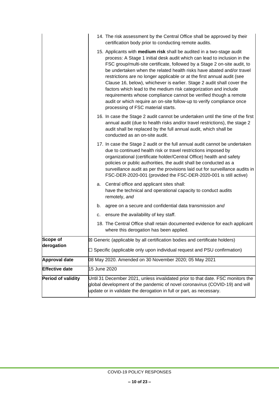|                           |                                                                                                                                                                                                                                       | 14. The risk assessment by the Central Office shall be approved by their<br>certification body prior to conducting remote audits.                                                                                                                                                                                                                                                                                                                                                                                                                                                                                                                                                                                   |  |
|---------------------------|---------------------------------------------------------------------------------------------------------------------------------------------------------------------------------------------------------------------------------------|---------------------------------------------------------------------------------------------------------------------------------------------------------------------------------------------------------------------------------------------------------------------------------------------------------------------------------------------------------------------------------------------------------------------------------------------------------------------------------------------------------------------------------------------------------------------------------------------------------------------------------------------------------------------------------------------------------------------|--|
|                           |                                                                                                                                                                                                                                       | 15. Applicants with medium risk shall be audited in a two-stage audit<br>process: A Stage 1 initial desk audit which can lead to inclusion in the<br>FSC group/multi-site certificate, followed by a Stage 2 on-site audit, to<br>be undertaken when the related health risks have abated and/or travel<br>restrictions are no longer applicable or at the first annual audit (see<br>Clause 16, below), whichever is earlier. Stage 2 audit shall cover the<br>factors which lead to the medium risk categorization and include<br>requirements whose compliance cannot be verified though a remote<br>audit or which require an on-site follow-up to verify compliance once<br>processing of FSC material starts. |  |
|                           |                                                                                                                                                                                                                                       | 16. In case the Stage 2 audit cannot be undertaken until the time of the first<br>annual audit (due to health risks and/or travel restrictions), the stage 2<br>audit shall be replaced by the full annual audit, which shall be<br>conducted as an on-site audit.                                                                                                                                                                                                                                                                                                                                                                                                                                                  |  |
|                           |                                                                                                                                                                                                                                       | 17. In case the Stage 2 audit or the full annual audit cannot be undertaken<br>due to continued health risk or travel restrictions imposed by<br>organizational (certificate holder/Central Office) health and safety<br>policies or public authorities, the audit shall be conducted as a<br>surveillance audit as per the provisions laid out for surveillance audits in<br>FSC-DER-2020-001 (provided the FSC-DER-2020-001 is still active)                                                                                                                                                                                                                                                                      |  |
|                           | а.                                                                                                                                                                                                                                    | Central office and applicant sites shall:<br>have the technical and operational capacity to conduct audits<br>remotely, and                                                                                                                                                                                                                                                                                                                                                                                                                                                                                                                                                                                         |  |
|                           | b.                                                                                                                                                                                                                                    | agree on a secure and confidential data transmission and                                                                                                                                                                                                                                                                                                                                                                                                                                                                                                                                                                                                                                                            |  |
|                           | С.                                                                                                                                                                                                                                    | ensure the availability of key staff.                                                                                                                                                                                                                                                                                                                                                                                                                                                                                                                                                                                                                                                                               |  |
|                           |                                                                                                                                                                                                                                       | 18. The Central Office shall retain documented evidence for each applicant<br>where this derogation has been applied.                                                                                                                                                                                                                                                                                                                                                                                                                                                                                                                                                                                               |  |
| <b>Scope of</b>           |                                                                                                                                                                                                                                       | $\boxtimes$ Generic (applicable by all certification bodies and certificate holders)                                                                                                                                                                                                                                                                                                                                                                                                                                                                                                                                                                                                                                |  |
| derogation                |                                                                                                                                                                                                                                       | □ Specific (applicable only upon individual request and PSU confirmation)                                                                                                                                                                                                                                                                                                                                                                                                                                                                                                                                                                                                                                           |  |
| <b>Approval date</b>      | 08 May 2020. Amended on 30 November 2020; 05 May 2021                                                                                                                                                                                 |                                                                                                                                                                                                                                                                                                                                                                                                                                                                                                                                                                                                                                                                                                                     |  |
| <b>Effective date</b>     | 15 June 2020                                                                                                                                                                                                                          |                                                                                                                                                                                                                                                                                                                                                                                                                                                                                                                                                                                                                                                                                                                     |  |
| <b>Period of validity</b> | Until 31 December 2021, unless invalidated prior to that date. FSC monitors the<br>global development of the pandemic of novel coronavirus (COVID-19) and will<br>update or in validate the derogation in full or part, as necessary. |                                                                                                                                                                                                                                                                                                                                                                                                                                                                                                                                                                                                                                                                                                                     |  |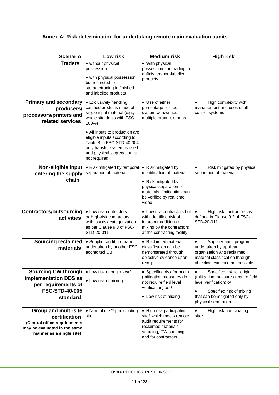| <b>Scenario</b>                                                                                                                          | Low risk                                                                                                                                                                    | <b>Medium risk</b>                                                                                                                                                     | <b>High risk</b>                                                                                                                                                               |
|------------------------------------------------------------------------------------------------------------------------------------------|-----------------------------------------------------------------------------------------------------------------------------------------------------------------------------|------------------------------------------------------------------------------------------------------------------------------------------------------------------------|--------------------------------------------------------------------------------------------------------------------------------------------------------------------------------|
| <b>Traders</b>                                                                                                                           | • without physical<br>possession<br>• with physical possession,<br>but restricted to<br>storage/trading in finished<br>and labelled products                                | • With physical<br>possession and trading in<br>unfinished/non-labelled<br>products                                                                                    |                                                                                                                                                                                |
| <b>Primary and secondary</b><br>producers/<br>processors/printers and<br>related services                                                | • Exclusively handling<br>certified products made of<br>single input material (e.g.,<br>whole site deals with FSC<br>100%)                                                  | • Use of either<br>percentage or credit<br>system with/without<br>multiple product groups                                                                              | High complexity with<br>$\bullet$<br>management and uses of all<br>control systems.                                                                                            |
|                                                                                                                                          | • All inputs to production are<br>eligible inputs according to<br>Table B in FSC-STD-40-004,<br>only transfer system is used<br>and physical segregation is<br>not required |                                                                                                                                                                        |                                                                                                                                                                                |
| Non-eligible input<br>entering the supply<br>chain                                                                                       | • Risk mitigated by temporal<br>separation of material                                                                                                                      | • Risk mitigated by<br>identification of material<br>• Risk mitigated by<br>physical separation of<br>materials if mitigation can<br>be verified by real time<br>video | Risk mitigated by physical<br>$\bullet$<br>separation of materials                                                                                                             |
| <b>Contractors/outsourcing</b><br>activities                                                                                             | • Low risk contractors<br>or High-risk contractors<br>with low risk categorization<br>as per Clause 9.3 of FSC-<br>STD-20-011                                               | • Low risk contractors but<br>with identified risk of<br>improper additions or<br>mixing by the contractors<br>at the contracting facility                             | High risk contractors as<br>defined in Clause 9.2 of FSC-<br>STD-20-011                                                                                                        |
| <b>Sourcing reclaimed</b><br>materials                                                                                                   | • Supplier audit program<br>undertaken by another FSC<br>accredited CB                                                                                                      | • Reclaimed material<br>classification can be<br>demonstrated through<br>objective evidence upon<br>receipt.                                                           | Supplier audit program<br>undertaken by applicant<br>organization and reclaimed<br>material classification through<br>objective evidence not possible.                         |
| Sourcing CW through . Low risk of origin, and<br>implementation DDS as<br>per requirements of<br><b>FSC-STD-40-005</b><br>standard       | • Low risk of mixing                                                                                                                                                        | • Specified risk for origin<br>(mitigation measures do<br>not require field level<br>verification) and<br>• Low risk of mixing                                         | Specified risk for origin<br>(mitigation measures require field<br>level verification) or<br>Specified risk of mixing<br>that can be mitigated only by<br>physical separation. |
| <b>Group and multi-site</b><br>certification<br>(Central office requirements<br>may be evaluated in the same<br>manner as a single site) | • Normal risk** participating<br>site                                                                                                                                       | • High risk participating<br>site* which meets remote<br>audit requirements for<br>reclaimed materials<br>sourcing, CW sourcing<br>and for contractors                 | High risk participating<br>$\bullet$<br>site*.                                                                                                                                 |

# **Annex A: Risk determination for undertaking remote main evaluation audits**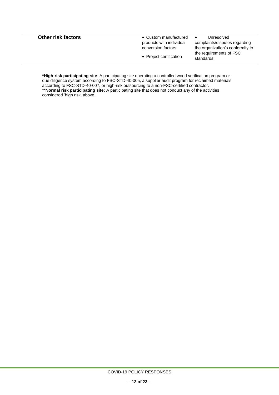| <b>Other risk factors</b> | • Custom manufactured<br>products with individual<br>conversion factors<br>• Project certification | Unresolved<br>$\bullet$<br>complaints/disputes regarding<br>the organization's conformity to<br>the requirements of FSC<br>standards |
|---------------------------|----------------------------------------------------------------------------------------------------|--------------------------------------------------------------------------------------------------------------------------------------|
|                           |                                                                                                    |                                                                                                                                      |

**\*High-risk participating site**: A participating site operating a controlled wood verification program or due diligence system according to FSC-STD-40-005, a supplier audit program for reclaimed materials according to FSC-STD-40-007, or high-risk outsourcing to a non-FSC-certified contractor. \*\***Normal risk participating site:** A participating site that does not conduct any of the activities considered 'high risk' above.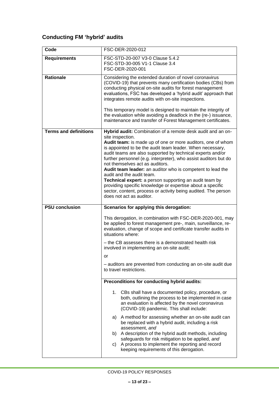# **Conducting FM 'hybrid' audits**

| Code                         | FSC-DER-2020-012                                                                                                                                                                                                                                                                                                                                                                                                                                                                                                                                                                                                                                                                                  |  |
|------------------------------|---------------------------------------------------------------------------------------------------------------------------------------------------------------------------------------------------------------------------------------------------------------------------------------------------------------------------------------------------------------------------------------------------------------------------------------------------------------------------------------------------------------------------------------------------------------------------------------------------------------------------------------------------------------------------------------------------|--|
| <b>Requirements</b>          | FSC-STD-20-007 V3-0 Clause 5.4.2<br>FSC-STD-30-005 V1-1 Clause 3.4<br>FSC-DER-2020-001                                                                                                                                                                                                                                                                                                                                                                                                                                                                                                                                                                                                            |  |
| <b>Rationale</b>             | Considering the extended duration of novel coronavirus<br>(COVID-19) that prevents many certification bodies (CBs) from<br>conducting physical on-site audits for forest management<br>evaluations, FSC has developed a 'hybrid audit' approach that<br>integrates remote audits with on-site inspections.<br>This temporary model is designed to maintain the integrity of<br>the evaluation while avoiding a deadlock in the (re-) issuance,<br>maintenance and transfer of Forest Management certificates.                                                                                                                                                                                     |  |
| <b>Terms and definitions</b> | Hybrid audit: Combination of a remote desk audit and an on-<br>site inspection.<br>Audit team: is made up of one or more auditors, one of whom<br>is appointed to be the audit team leader. When necessary,<br>audit teams are also supported by technical experts and/or<br>further personnel (e.g. interpreter), who assist auditors but do<br>not themselves act as auditors.<br>Audit team leader: an auditor who is competent to lead the<br>audit and the audit team.<br>Technical expert: a person supporting an audit team by<br>providing specific knowledge or expertise about a specific<br>sector, content, process or activity being audited. The person<br>does not act as auditor. |  |
| <b>PSU conclusion</b>        | Scenarios for applying this derogation:                                                                                                                                                                                                                                                                                                                                                                                                                                                                                                                                                                                                                                                           |  |
|                              | This derogation, in combination with FSC-DER-2020-001, may<br>be applied to forest management pre-, main, surveillance, re-<br>evaluation, change of scope and certificate transfer audits in<br>situations where:<br>- the CB assesses there is a demonstrated health risk<br>involved in implementing an on-site audit;                                                                                                                                                                                                                                                                                                                                                                         |  |
|                              | or<br>- auditors are prevented from conducting an on-site audit due<br>to travel restrictions.                                                                                                                                                                                                                                                                                                                                                                                                                                                                                                                                                                                                    |  |
|                              | Preconditions for conducting hybrid audits:                                                                                                                                                                                                                                                                                                                                                                                                                                                                                                                                                                                                                                                       |  |
|                              | 1.<br>CBs shall have a documented policy, procedure, or<br>both, outlining the process to be implemented in case<br>an evaluation is affected by the novel coronavirus<br>(COVID-19) pandemic. This shall include:<br>A method for assessing whether an on-site audit can<br>a)<br>be replaced with a hybrid audit, including a risk<br>assessment, and<br>A description of the hybrid audit methods, including<br>b)<br>safeguards for risk mitigation to be applied, and<br>A process to implement the reporting and record<br>C)                                                                                                                                                               |  |
|                              | keeping requirements of this derogation.                                                                                                                                                                                                                                                                                                                                                                                                                                                                                                                                                                                                                                                          |  |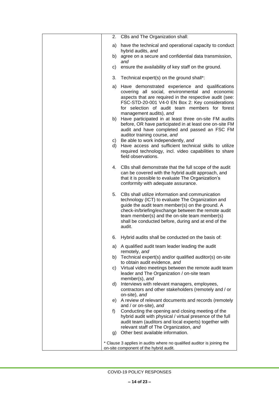| 2. CBs and The Organization shall:                                                                                                                                                                                                                                                                                                     |
|----------------------------------------------------------------------------------------------------------------------------------------------------------------------------------------------------------------------------------------------------------------------------------------------------------------------------------------|
| have the technical and operational capacity to conduct<br>a)<br>hybrid audits, and                                                                                                                                                                                                                                                     |
| agree on a secure and confidential data transmission,<br>b)<br>and                                                                                                                                                                                                                                                                     |
| ensure the availability of key staff on the ground.<br>C)                                                                                                                                                                                                                                                                              |
| 3.<br>Technical expert(s) on the ground shall*:                                                                                                                                                                                                                                                                                        |
| Have demonstrated experience and qualifications<br>a)<br>covering all social, environmental and economic<br>aspects that are required in the respective audit (see:<br>FSC-STD-20-001 V4-0 EN Box 2: Key considerations<br>for selection of audit team members for forest<br>management audits), and                                   |
| Have participated in at least three on-site FM audits<br>b)<br>before, OR have participated in at least one on-site FM<br>audit and have completed and passed an FSC FM                                                                                                                                                                |
| auditor training course, and<br>c) Be able to work independently, and<br>Have access and sufficient technical skills to utilize<br>d)<br>required technology, incl. video capabilities to share<br>field observations.                                                                                                                 |
| 4. CBs shall demonstrate that the full scope of the audit<br>can be covered with the hybrid audit approach, and<br>that it is possible to evaluate The Organization's<br>conformity with adequate assurance.                                                                                                                           |
| 5.<br>CBs shall utilize information and communication<br>technology (ICT) to evaluate The Organization and<br>guide the audit team member(s) on the ground. A<br>check-in/briefing/exchange between the remote audit<br>team member(s) and the on-site team member(s)<br>shall be conducted before, during and at end of the<br>audit. |
| Hybrid audits shall be conducted on the basis of:<br>6.                                                                                                                                                                                                                                                                                |
| a) A qualified audit team leader leading the audit<br>remotely, and                                                                                                                                                                                                                                                                    |
| Technical expert(s) and/or qualified auditor(s) on-site<br>b)<br>to obtain audit evidence, and                                                                                                                                                                                                                                         |
| Virtual video meetings between the remote audit team<br>C)<br>leader and The Organization / on-site team<br>member(s), and                                                                                                                                                                                                             |
| Interviews with relevant managers, employees,<br>d)<br>contractors and other stakeholders (remotely and / or<br>on-site), and                                                                                                                                                                                                          |
| A review of relevant documents and records (remotely<br>e)                                                                                                                                                                                                                                                                             |
| and / or on-site), and<br>Conducting the opening and closing meeting of the<br>f)<br>hybrid audit with physical / virtual presence of the full<br>audit team (auditors and local experts) together with<br>relevant staff of The Organization, and                                                                                     |
| Other best available information.<br>g)                                                                                                                                                                                                                                                                                                |
| * Clause 3 applies in audits where no qualified auditor is joining the<br>on-site component of the hybrid audit.                                                                                                                                                                                                                       |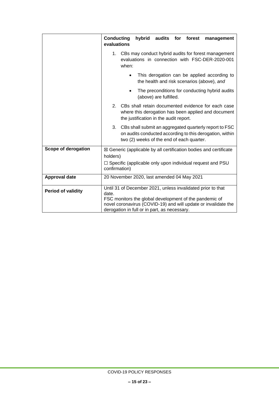|                           | <b>Conducting</b><br>hybrid<br>audits for forest<br>management<br>evaluations                                                                                                                                                                    |  |
|---------------------------|--------------------------------------------------------------------------------------------------------------------------------------------------------------------------------------------------------------------------------------------------|--|
|                           | CBs may conduct hybrid audits for forest management<br>1.<br>evaluations in connection with FSC-DER-2020-001<br>when:                                                                                                                            |  |
|                           | This derogation can be applied according to<br>$\bullet$<br>the health and risk scenarios (above), and                                                                                                                                           |  |
|                           | The preconditions for conducting hybrid audits<br>(above) are fulfilled.                                                                                                                                                                         |  |
|                           | CBs shall retain documented evidence for each case<br>2.<br>where this derogation has been applied and document<br>the justification in the audit report.                                                                                        |  |
|                           | 3.<br>CBs shall submit an aggregated quarterly report to FSC<br>on audits conducted according to this derogation, within<br>two (2) weeks of the end of each quarter.                                                                            |  |
| Scope of derogation       | ⊠ Generic (applicable by all certification bodies and certificate<br>holders)                                                                                                                                                                    |  |
|                           | $\Box$ Specific (applicable only upon individual request and PSU<br>confirmation)                                                                                                                                                                |  |
| <b>Approval date</b>      | 20 November 2020, last amended 04 May 2021                                                                                                                                                                                                       |  |
| <b>Period of validity</b> | Until 31 of December 2021, unless invalidated prior to that<br>date.<br>FSC monitors the global development of the pandemic of<br>novel coronavirus (COVID-19) and will update or invalidate the<br>derogation in full or in part, as necessary. |  |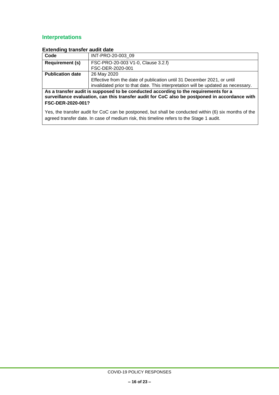# **Interpretations**

| Code                                                                                                                                                                                                      | INT-PRO-20-003 09                                                                 |  |
|-----------------------------------------------------------------------------------------------------------------------------------------------------------------------------------------------------------|-----------------------------------------------------------------------------------|--|
| <b>Requirement (s)</b>                                                                                                                                                                                    | FSC-PRO-20-003 V1-0, Clause 3.2.f)                                                |  |
|                                                                                                                                                                                                           | FSC-DER-2020-001                                                                  |  |
| <b>Publication date</b>                                                                                                                                                                                   | 26 May 2020                                                                       |  |
|                                                                                                                                                                                                           | Effective from the date of publication until 31 December 2021, or until           |  |
|                                                                                                                                                                                                           | invalidated prior to that date. This interpretation will be updated as necessary. |  |
| As a transfer audit is supposed to be conducted according to the requirements for a<br>surveillance evaluation, can this transfer audit for CoC also be postponed in accordance with<br>FSC-DER-2020-001? |                                                                                   |  |
| Yes, the transfer audit for CoC can be postponed, but shall be conducted within (6) six months of the<br>agreed transfer date. In case of medium risk, this timeline refers to the Stage 1 audit.         |                                                                                   |  |

#### **Extending transfer audit date**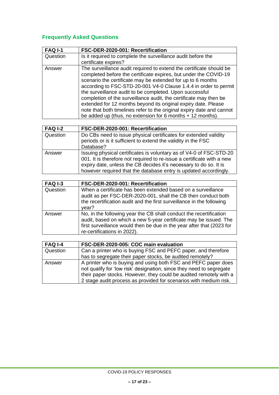# **Frequently Asked Questions**

| <b>FAQ I-1</b> | FSC-DER-2020-001: Recertification                                                                                                                                                                                                                                                                                                                                                                                                                                                                                                                                                                                     |
|----------------|-----------------------------------------------------------------------------------------------------------------------------------------------------------------------------------------------------------------------------------------------------------------------------------------------------------------------------------------------------------------------------------------------------------------------------------------------------------------------------------------------------------------------------------------------------------------------------------------------------------------------|
| Question       | Is it required to complete the surveillance audit before the<br>certificate expires?                                                                                                                                                                                                                                                                                                                                                                                                                                                                                                                                  |
| Answer         | The surveillance audit required to extend the certificate should be<br>completed before the certificate expires, but under the COVID-19<br>scenario the certificate may be extended for up to 6 months<br>according to FSC-STD-20-001 V4-0 Clause 1.4.4 in order to permit<br>the surveillance audit to be completed. Upon successful<br>completion of the surveillance audit, the certificate may then be<br>extended for 12 months beyond its original expiry date. Please<br>note that both timelines refer to the original expiry date and cannot<br>be added up (thus, no extension for 6 months $+$ 12 months). |

| <b>FAQ I-2</b> | FSC-DER-2020-001: Recertification                                                                                                                                                                                                                                                      |
|----------------|----------------------------------------------------------------------------------------------------------------------------------------------------------------------------------------------------------------------------------------------------------------------------------------|
| Question       | Do CBs need to issue physical certificates for extended validity<br>periods or is it sufficient to extend the validity in the FSC<br>Database?                                                                                                                                         |
| Answer         | Issuing physical certificates is voluntary as of V4-0 of FSC-STD-20<br>001. It is therefore not required to re-issue a certificate with a new<br>expiry date, unless the CB decides it's necessary to do so. It is<br>however required that the database entry is updated accordingly. |

| <b>FAQ I-3</b> | FSC-DER-2020-001: Recertification                                                                                                                                                                                                               |
|----------------|-------------------------------------------------------------------------------------------------------------------------------------------------------------------------------------------------------------------------------------------------|
| Question       | When a certificate has been extended based on a surveillance<br>audit as per FSC-DER-2020-001, shall the CB then conduct both<br>the recertification audit and the first surveillance in the following<br>year?                                 |
| Answer         | No, in the following year the CB shall conduct the recertification<br>audit, based on which a new 5-year certificate may be issued. The<br>first surveillance would then be due in the year after that (2023 for<br>re-certifications in 2022). |

| <b>FAQ I-4</b> | FSC-DER-2020-005: COC main evaluation                                                                                                                                                                                                                                             |
|----------------|-----------------------------------------------------------------------------------------------------------------------------------------------------------------------------------------------------------------------------------------------------------------------------------|
| Question       | Can a printer who is buying FSC and PEFC paper, and therefore                                                                                                                                                                                                                     |
|                | has to segregate their paper stocks, be audited remotely?                                                                                                                                                                                                                         |
| Answer         | A printer who is buying and using both FSC and PEFC paper does<br>not qualify for 'low risk' designation, since they need to segregate<br>their paper stocks. However, they could be audited remotely with a<br>2 stage audit process as provided for scenarios with medium risk. |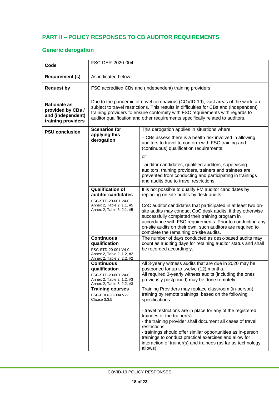### <span id="page-17-0"></span>**PART II – POLICY RESPONSES TO CB AUDITOR REQUIREMENTS**

# **Generic derogation**

| Code                                                                                | FSC-DER-2020-004                                                                                                                                                                                                                                                                                                                              |                                                                                                                                                                                                                                                                                                                                                                                                                                                                                                                                                                                                                 |
|-------------------------------------------------------------------------------------|-----------------------------------------------------------------------------------------------------------------------------------------------------------------------------------------------------------------------------------------------------------------------------------------------------------------------------------------------|-----------------------------------------------------------------------------------------------------------------------------------------------------------------------------------------------------------------------------------------------------------------------------------------------------------------------------------------------------------------------------------------------------------------------------------------------------------------------------------------------------------------------------------------------------------------------------------------------------------------|
| <b>Requirement (s)</b>                                                              | As indicated below                                                                                                                                                                                                                                                                                                                            |                                                                                                                                                                                                                                                                                                                                                                                                                                                                                                                                                                                                                 |
| <b>Request by</b>                                                                   | FSC accredited CBs and (independent) training providers                                                                                                                                                                                                                                                                                       |                                                                                                                                                                                                                                                                                                                                                                                                                                                                                                                                                                                                                 |
| <b>Rationale as</b><br>provided by CBs /<br>and (independent)<br>training providers | Due to the pandemic of novel coronavirus (COVID-19), vast areas of the world are<br>subject to travel restrictions. This results in difficulties for CBs and (independent)<br>training providers to ensure conformity with FSC requirements with regards to<br>auditor qualification and other requirements specifically related to auditors. |                                                                                                                                                                                                                                                                                                                                                                                                                                                                                                                                                                                                                 |
| <b>PSU conclusion</b>                                                               | <b>Scenarios for</b><br>applying this<br>derogation                                                                                                                                                                                                                                                                                           | This derogation applies in situations where:<br>- CBs assess there is a health risk involved in allowing<br>auditors to travel to conform with FSC training and<br>(continuous) qualification requirements;<br>or<br>-auditor candidates, qualified auditors, supervising<br>auditors, training providers, trainers and trainees are<br>prevented from conducting and participating in trainings<br>and audits due to travel restrictions.                                                                                                                                                                      |
|                                                                                     | <b>Qualification of</b><br>auditor candidates<br>FSC-STD-20-001 V4-0<br>Annex 2, Table 2, 1.1, #5<br>Annex 2, Table 3, 2.1, #5<br><b>Continuous</b><br>qualification<br>FSC-STD-20-001 V4-0<br>Annex 2, Table 2, 1.2, #2<br>Annex 2, Table 3, 2.2, #2                                                                                         | It is not possible to qualify FM auditor candidates by<br>replacing on-site audits by desk audits.<br>CoC auditor candidates that participated in at least two on-<br>site audits may conduct CoC desk audits, if they otherwise<br>successfully completed their training program in<br>accordance with FSC requirements. Prior to conducting any<br>on-site audits on their own, such auditors are required to<br>complete the remaining on-site audits.<br>The number of days conducted as desk-based audits may<br>count as auditing days for retaining auditor status and shall<br>be recorded accordingly. |
|                                                                                     | <b>Continuous</b><br>qualification<br>FSC-STD-20-001 V4-0<br>Annex 2, Table 2, 1.2, #3<br>Annex 2, Table 3, 2.2, #3                                                                                                                                                                                                                           | All 3-yearly witness audits that are due in 2020 may be<br>postponed for up to twelve (12) months.<br>All required 3-yearly witness audits (including the ones<br>previously postponed) may be done remotely.                                                                                                                                                                                                                                                                                                                                                                                                   |
|                                                                                     | <b>Training courses</b><br>FSC-PRO-20-004 V2-1<br>Clause 3.3.5                                                                                                                                                                                                                                                                                | Training Providers may replace classroom (in-person)<br>training by remote trainings, based on the following<br>specifications:<br>- travel restrictions are in place for any of the registered<br>trainees or the trainer(s).<br>- the training provider shall document all cases of travel<br>restrictions;<br>- trainings should offer similar opportunities as in-person<br>trainings to conduct practical exercises and allow for<br>interaction of trainer(s) and trainees (as far as technology<br>allows),                                                                                              |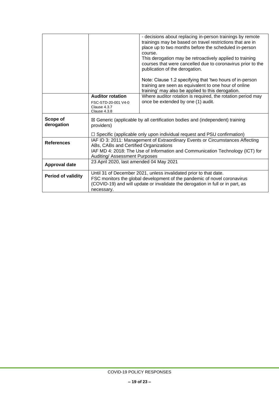|                        |                                                                                                                                                                                                                                               | - decisions about replacing in-person trainings by remote<br>trainings may be based on travel restrictions that are in<br>place up to two months before the scheduled in-person<br>course.<br>This derogation may be retroactively applied to training<br>courses that were cancelled due to coronavirus prior to the<br>publication of the derogation.<br>Note: Clause 1.2 specifying that 'two hours of in-person<br>training are seen as equivalent to one hour of online |
|------------------------|-----------------------------------------------------------------------------------------------------------------------------------------------------------------------------------------------------------------------------------------------|------------------------------------------------------------------------------------------------------------------------------------------------------------------------------------------------------------------------------------------------------------------------------------------------------------------------------------------------------------------------------------------------------------------------------------------------------------------------------|
|                        |                                                                                                                                                                                                                                               | training' may also be applied to this derogation.                                                                                                                                                                                                                                                                                                                                                                                                                            |
|                        | <b>Auditor rotation</b>                                                                                                                                                                                                                       | Where auditor rotation is required, the rotation period may                                                                                                                                                                                                                                                                                                                                                                                                                  |
|                        | FSC-STD-20-001 V4-0<br>Clause 4.3.7<br>Clause 4.3.8                                                                                                                                                                                           | once be extended by one (1) audit.                                                                                                                                                                                                                                                                                                                                                                                                                                           |
| Scope of<br>derogation | $\boxtimes$ Generic (applicable by all certification bodies and (independent) training<br>providers)<br>$\Box$ Specific (applicable only upon individual request and PSU confirmation)                                                        |                                                                                                                                                                                                                                                                                                                                                                                                                                                                              |
|                        |                                                                                                                                                                                                                                               |                                                                                                                                                                                                                                                                                                                                                                                                                                                                              |
| <b>References</b>      | IAF ID 3: 2011: Management of Extraordinary Events or Circumstances Affecting<br>ABs, CABs and Certified Organizations<br>IAF MD 4: 2018: The Use of Information and Communication Technology (ICT) for                                       |                                                                                                                                                                                                                                                                                                                                                                                                                                                                              |
|                        | Auditing/ Assessment Purposes                                                                                                                                                                                                                 |                                                                                                                                                                                                                                                                                                                                                                                                                                                                              |
| Approval date          | 23 April 2020, last amended 04 May 2021                                                                                                                                                                                                       |                                                                                                                                                                                                                                                                                                                                                                                                                                                                              |
| Period of validity     | Until 31 of December 2021, unless invalidated prior to that date.<br>FSC monitors the global development of the pandemic of novel coronavirus<br>(COVID-19) and will update or invalidate the derogation in full or in part, as<br>necessary. |                                                                                                                                                                                                                                                                                                                                                                                                                                                                              |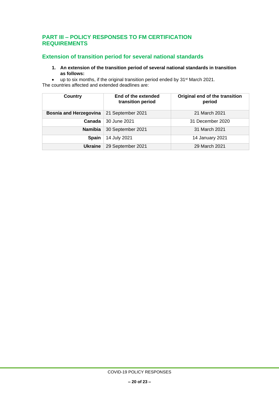#### <span id="page-19-0"></span>**PART III – POLICY RESPONSES TO FM CERTIFICATION REQUIREMENTS**

### **Extension of transition period for several national standards**

**1. An extension of the transition period of several national standards in transition as follows:**

• up to six months, if the original transition period ended by 31st March 2021. The countries affected and extended deadlines are:

| <b>Country</b>                | End of the extended<br>transition period | Original end of the transition<br>period |
|-------------------------------|------------------------------------------|------------------------------------------|
| <b>Bosnia and Herzegovina</b> | 21 September 2021                        | 21 March 2021                            |
| Canada                        | 30 June 2021                             | 31 December 2020                         |
| <b>Namibia</b>                | 30 September 2021                        | 31 March 2021                            |
| <b>Spain</b>                  | 14 July 2021                             | 14 January 2021                          |
| <b>Ukraine</b>                | 29 September 2021                        | 29 March 2021                            |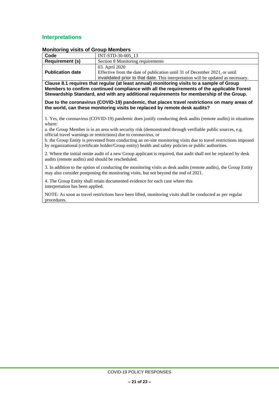#### **Interpretations**

|                                                                                                                                                                                                                                                                                    | <b>NUMBER OF SHOUP MEMBERS</b>                                                                                   |  |  |
|------------------------------------------------------------------------------------------------------------------------------------------------------------------------------------------------------------------------------------------------------------------------------------|------------------------------------------------------------------------------------------------------------------|--|--|
| Code                                                                                                                                                                                                                                                                               | INT-STD-30-005 13                                                                                                |  |  |
| <b>Requirement (s)</b>                                                                                                                                                                                                                                                             | Section 8 Monitoring requirements                                                                                |  |  |
|                                                                                                                                                                                                                                                                                    | 03. April 2020                                                                                                   |  |  |
| <b>Publication date</b>                                                                                                                                                                                                                                                            | Effective from the date of publication until 31 of December 2021, or until                                       |  |  |
|                                                                                                                                                                                                                                                                                    | invalidated prior to that date. This interpretation will be updated as necessary.                                |  |  |
| Clause 8.1 requires that regular (at least annual) monitoring visits to a sample of Group<br>Members to confirm continued compliance with all the requirements of the applicable Forest<br>Stewardship Standard, and with any additional requirements for membership of the Group. |                                                                                                                  |  |  |
| Due to the coronavirus (COVID-19) pandemic, that places travel restrictions on many areas of<br>the world, can these monitoring visits be replaced by remote desk audits?                                                                                                          |                                                                                                                  |  |  |
| 1. Yes, the coronavirus (COVID-19) pandemic does justify conducting desk audits (remote audits) in situations<br>where:                                                                                                                                                            |                                                                                                                  |  |  |
| a. the Group Member is in an area with security risk (demonstrated through verifiable public sources, e.g.<br>official travel warnings or restrictions) due to coronavirus, or                                                                                                     |                                                                                                                  |  |  |
| b. the Group Entity is prevented from conducting an on-site monitoring visits due to travel restrictions imposed<br>by organizational (certificate holder/Group entity) health and safety policies or public authorities.                                                          |                                                                                                                  |  |  |
| audits (remote audits) and should be rescheduled.                                                                                                                                                                                                                                  | 2. Where the initial onsite audit of a new Group applicant is required, that audit shall not be replaced by desk |  |  |
| 3. In addition to the option of conducting the monitoring visits as desk audits (remote audits), the Group Entity<br>may also consider postponing the monitoring visits, but not beyond the end of 2021.                                                                           |                                                                                                                  |  |  |

#### **Monitoring visits of Group Members**

4. The Group Entity shall retain documented evidence for each case where this interpretation has been applied.

NOTE: As soon as travel restrictions have been lifted, monitoring visits shall be conducted as per regular procedures.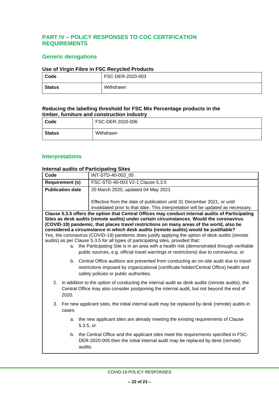### <span id="page-21-0"></span>**PART IV – POLICY RESPONSES TO COC CERTIFICATION REQUIREMENTS**

### **Generic derogations**

#### **Use of Virgin Fibre in FSC Recycled Products**

| Code          | FSC-DER-2020-003 |
|---------------|------------------|
| <b>Status</b> | Withdrawn        |

#### **Reducing the labelling threshold for FSC Mix Percentage products in the timber, furniture and construction industry**

| Code   | FSC-DER-2020-006 |
|--------|------------------|
| Status | Withdrawn        |

### **Interpretations**

#### **Internal audits of Participating Sites**

| Code                                                                                                 | INT-STD-40-003 05                                                                                                                                                                     |
|------------------------------------------------------------------------------------------------------|---------------------------------------------------------------------------------------------------------------------------------------------------------------------------------------|
| <b>Requirement (s)</b>                                                                               | FSC-STD-40-003 V2-1 Clause 5.3.5                                                                                                                                                      |
| <b>Publication date</b><br>20 March 2020, updated 04 May 2021                                        |                                                                                                                                                                                       |
|                                                                                                      |                                                                                                                                                                                       |
|                                                                                                      | Effective from the date of publication until 31 December 2021, or until                                                                                                               |
|                                                                                                      | invalidated prior to that date. This interpretation will be updated as necessary.<br>Clause 5.3.5 offers the option that Central Offices may conduct internal audits of Participating |
|                                                                                                      | Sites as desk audits (remote audits) under certain circumstances. Would the coronavirus                                                                                               |
|                                                                                                      | (COVID-19) pandemic, that places travel restrictions on many areas of the world, also be                                                                                              |
|                                                                                                      | considered a circumstance in which desk audits (remote audits) would be justifiable?                                                                                                  |
|                                                                                                      | Yes, the coronavirus (COVID-19) pandemic does justify applying the option of desk audits (remote                                                                                      |
| a.                                                                                                   | audits) as per Clause 5.3.5 for all types of participating sites, provided that:<br>the Participating Site is in an area with a health risk (demonstrated through verifiable          |
|                                                                                                      | public sources, e.g. official travel warnings or restrictions) due to coronavirus, or                                                                                                 |
|                                                                                                      |                                                                                                                                                                                       |
| b.                                                                                                   | Central Office auditors are prevented from conducting an on-site audit due to travel                                                                                                  |
|                                                                                                      | restrictions imposed by organizational (certificate holder/Central Office) health and                                                                                                 |
|                                                                                                      | safety policies or public authorities.                                                                                                                                                |
| In addition to the option of conducting the internal audit as desk audits (remote audits), the<br>2. |                                                                                                                                                                                       |
| Central Office may also consider postponing the internal audit, but not beyond the end of            |                                                                                                                                                                                       |
| 2020.                                                                                                |                                                                                                                                                                                       |
| For new applicant sites, the initial internal audit may be replaced by desk (remote) audits in<br>3. |                                                                                                                                                                                       |
| cases:                                                                                               |                                                                                                                                                                                       |
| a.                                                                                                   | the new applicant sites are already meeting the existing requirements of Clause                                                                                                       |
|                                                                                                      | 5.3.5, or                                                                                                                                                                             |
|                                                                                                      |                                                                                                                                                                                       |
| b.                                                                                                   | the Central Office and the applicant sites meet the requirements specified in FSC-                                                                                                    |
|                                                                                                      | DER-2020-005 then the initial internal audit may be replaced by desk (remote)<br>audits.                                                                                              |
|                                                                                                      |                                                                                                                                                                                       |